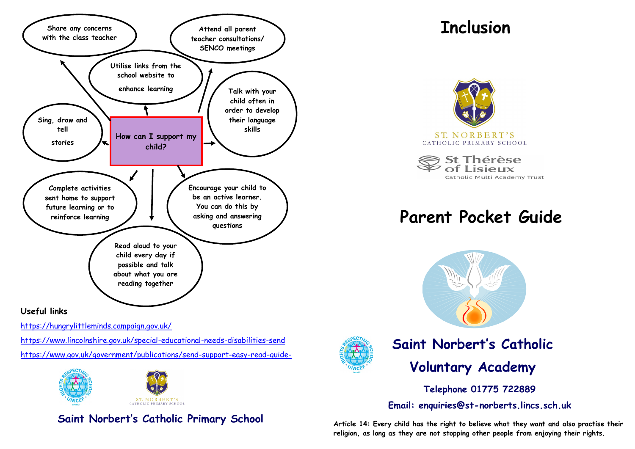

#### **Useful links**

<https://hungrylittleminds.campaign.gov.uk/>

<https://www.lincolnshire.gov.uk/special-educational-needs-disabilities-send> [https://www.gov.uk/government/publications/send-support-easy-read-guide-](https://www.gov.uk/government/publications/send-support-easy-read-guide-for-parents)



## **Saint Norbert's Catholic Primary School**

# **Inclusion**



St Thérèse Lisieux Catholic Multi Academy Trust

# **Parent Pocket Guide**





# **Saint Norbert's Catholic Voluntary Academy**

**Telephone 01775 722889**

**Email: enquiries@st-norberts.lincs.sch.uk**

**Article 14: Every child has the right to believe what they want and also practise their religion, as long as they are not stopping other people from enjoying their rights.**